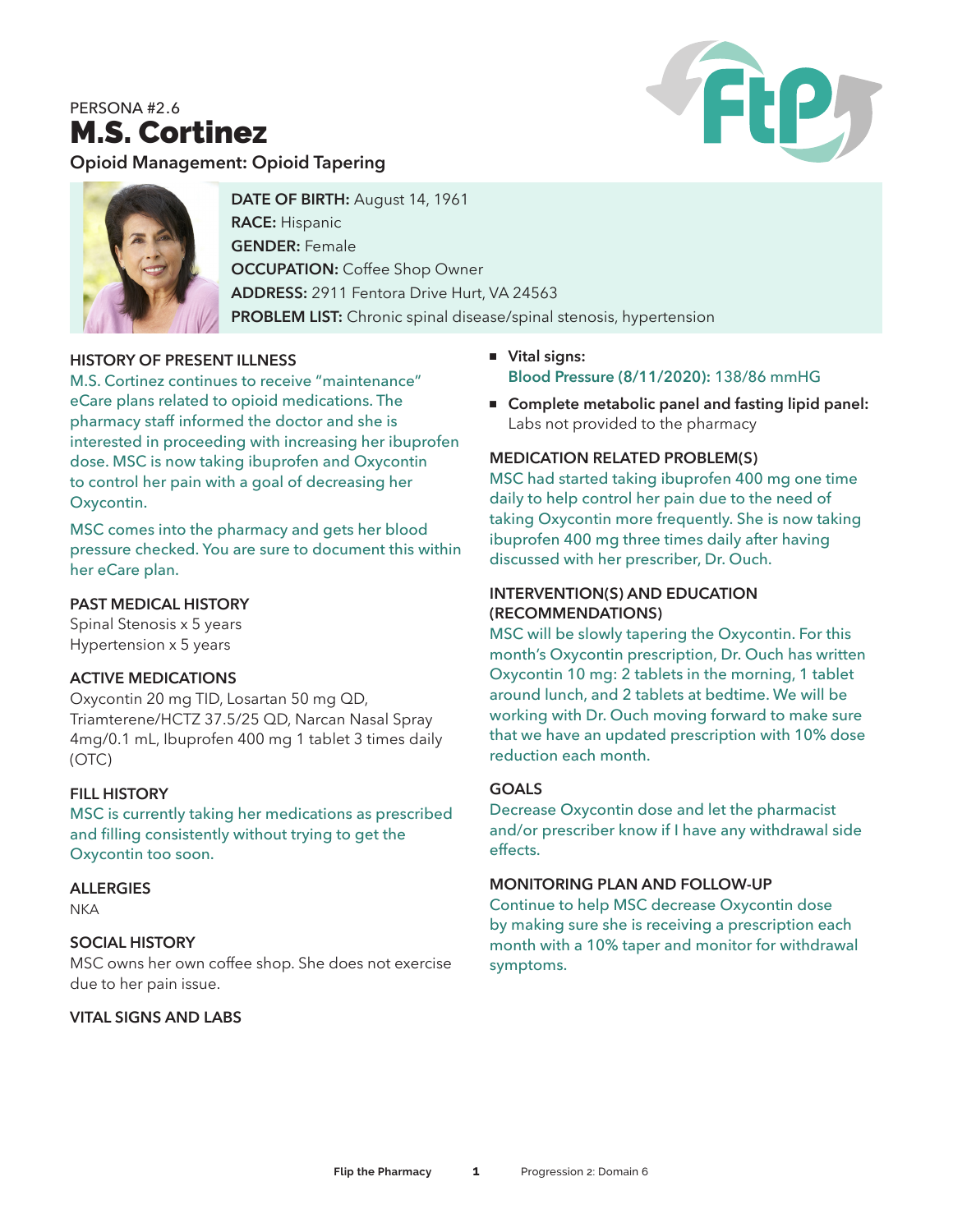# PERSONA #2.6 M.S. Cortinez



**Opioid Management: Opioid Tapering**



**DATE OF BIRTH:** August 14, 1961 **RACE:** Hispanic **GENDER:** Female **OCCUPATION: Coffee Shop Owner ADDRESS:** 2911 Fentora Drive Hurt, VA 24563 **PROBLEM LIST:** Chronic spinal disease/spinal stenosis, hypertension

# **HISTORY OF PRESENT ILLNESS**

M.S. Cortinez continues to receive "maintenance" eCare plans related to opioid medications. The pharmacy staff informed the doctor and she is interested in proceeding with increasing her ibuprofen dose. MSC is now taking ibuprofen and Oxycontin to control her pain with a goal of decreasing her Oxycontin.

MSC comes into the pharmacy and gets her blood pressure checked. You are sure to document this within her eCare plan.

# **PAST MEDICAL HISTORY**

Spinal Stenosis x 5 years Hypertension x 5 years

#### **ACTIVE MEDICATIONS**

Oxycontin 20 mg TID, Losartan 50 mg QD, Triamterene/HCTZ 37.5/25 QD, Narcan Nasal Spray 4mg/0.1 mL, Ibuprofen 400 mg 1 tablet 3 times daily (OTC)

#### **FILL HISTORY**

MSC is currently taking her medications as prescribed and filling consistently without trying to get the Oxycontin too soon.

#### **ALLERGIES**

**NKA** 

#### **SOCIAL HISTORY**

MSC owns her own coffee shop. She does not exercise due to her pain issue.

# **VITAL SIGNS AND LABS**

- <sup>n</sup> **Vital signs: Blood Pressure (8/11/2020):** 138/86 mmHG
- Complete metabolic panel and fasting lipid panel: Labs not provided to the pharmacy

#### **MEDICATION RELATED PROBLEM(S)**

MSC had started taking ibuprofen 400 mg one time daily to help control her pain due to the need of taking Oxycontin more frequently. She is now taking ibuprofen 400 mg three times daily after having discussed with her prescriber, Dr. Ouch.

#### **INTERVENTION(S) AND EDUCATION (RECOMMENDATIONS)**

MSC will be slowly tapering the Oxycontin. For this month's Oxycontin prescription, Dr. Ouch has written Oxycontin 10 mg: 2 tablets in the morning, 1 tablet around lunch, and 2 tablets at bedtime. We will be working with Dr. Ouch moving forward to make sure that we have an updated prescription with 10% dose reduction each month.

#### **GOALS**

Decrease Oxycontin dose and let the pharmacist and/or prescriber know if I have any withdrawal side effects.

#### **MONITORING PLAN AND FOLLOW-UP**

Continue to help MSC decrease Oxycontin dose by making sure she is receiving a prescription each month with a 10% taper and monitor for withdrawal symptoms.